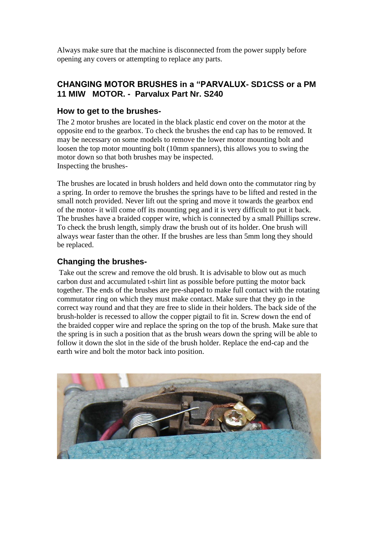Always make sure that the machine is disconnected from the power supply before opening any covers or attempting to replace any parts.

### **CHANGING MOTOR BRUSHES in a "PARVALUX- SD1CSS or a PM 11 MIW MOTOR. - Parvalux Part Nr. S240**

#### **How to get to the brushes-**

The 2 motor brushes are located in the black plastic end cover on the motor at the opposite end to the gearbox. To check the brushes the end cap has to be removed. It may be necessary on some models to remove the lower motor mounting bolt and loosen the top motor mounting bolt (10mm spanners), this allows you to swing the motor down so that both brushes may be inspected. Inspecting the brushes-

The brushes are located in brush holders and held down onto the commutator ring by a spring. In order to remove the brushes the springs have to be lifted and rested in the small notch provided. Never lift out the spring and move it towards the gearbox end of the motor- it will come off its mounting peg and it is very difficult to put it back. The brushes have a braided copper wire, which is connected by a small Phillips screw. To check the brush length, simply draw the brush out of its holder. One brush will always wear faster than the other. If the brushes are less than 5mm long they should be replaced.

## **Changing the brushes-**

Take out the screw and remove the old brush. It is advisable to blow out as much carbon dust and accumulated t-shirt lint as possible before putting the motor back together. The ends of the brushes are pre-shaped to make full contact with the rotating commutator ring on which they must make contact. Make sure that they go in the correct way round and that they are free to slide in their holders. The back side of the brush-holder is recessed to allow the copper pigtail to fit in. Screw down the end of the braided copper wire and replace the spring on the top of the brush. Make sure that the spring is in such a position that as the brush wears down the spring will be able to follow it down the slot in the side of the brush holder. Replace the end-cap and the earth wire and bolt the motor back into position.